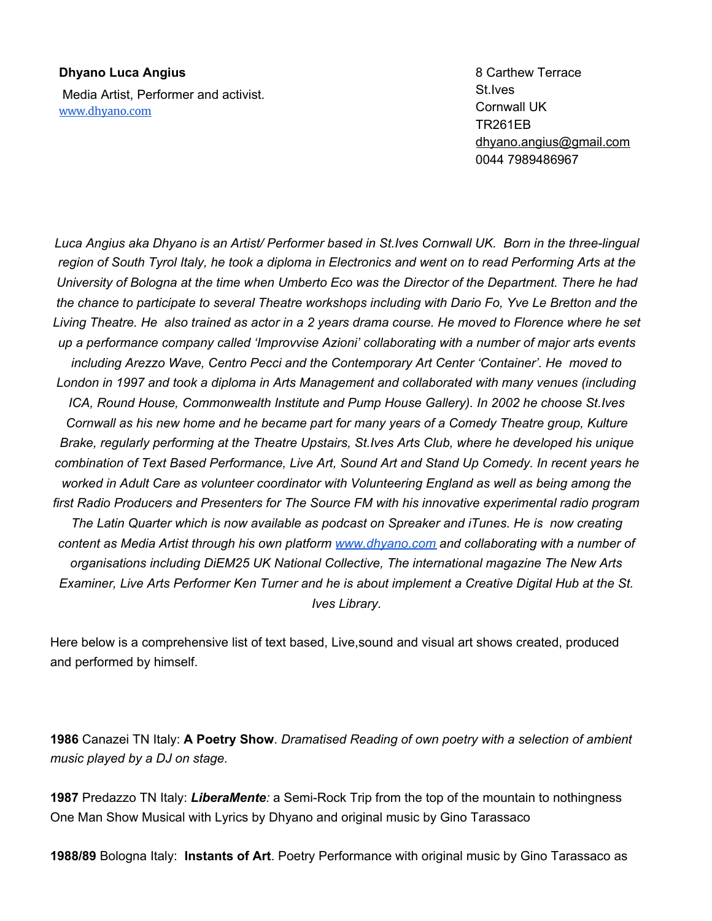## **Dhyano Luca Angius**

Media Artist, Performer and activist. [www.dhyano.com](http://www.dhyano.com/)

8 Carthew Terrace St.Ives Cornwall UK TR261EB [dhyano.angius@gmail.com](mailto:dhyano.angius@gmail.com) 0044 7989486967

*Luca Angius aka Dhyano is an Artist/ Performer based in St.Ives Cornwall UK. Born in the three-lingual* region of South Tyrol Italy, he took a diploma in Electronics and went on to read Performing Arts at the University of Bologna at the time when Umberto Eco was the Director of the Department. There he had *the chance to participate to several Theatre workshops including with Dario Fo, Yve Le Bretton and the* Living Theatre. He also trained as actor in a 2 years drama course. He moved to Florence where he set *up a performance company called 'Improvvise Azioni' collaborating with a number of major arts events including Arezzo Wave, Centro Pecci and the Contemporary Art Center 'Container'. He moved to London in 1997 and took a diploma in Arts Management and collaborated with many venues (including ICA, Round House, Commonwealth Institute and Pump House Gallery). In 2002 he choose St.Ives Cornwall as his new home and he became part for many years of a Comedy Theatre group, Kulture Brake, regularly performing at the Theatre Upstairs, St.Ives Arts Club, where he developed his unique combination of Text Based Performance, Live Art, Sound Art and Stand Up Comedy. In recent years he worked in Adult Care as volunteer coordinator with Volunteering England as well as being among the first Radio Producers and Presenters for The Source FM with his innovative experimental radio program The Latin Quarter which is now available as podcast on Spreaker and iTunes. He is now creating content as Media Artist through his own platform [www.dhyano.com](http://www.dhyano.com/) and collaborating with a number of organisations including DiEM25 UK National Collective, The international magazine The New Arts* Examiner, Live Arts Performer Ken Turner and he is about implement a Creative Digital Hub at the St. *Ives Library.*

Here below is a comprehensive list of text based, Live,sound and visual art shows created, produced and performed by himself.

**1986** Canazei TN Italy: **A Poetry Show**. *Dramatised Reading of own poetry with a selection of ambient music played by a DJ on stage.*

**1987** Predazzo TN Italy: *LiberaMente:* a Semi-Rock Trip from the top of the mountain to nothingness One Man Show Musical with Lyrics by Dhyano and original music by Gino Tarassaco

**1988/89** Bologna Italy: **Instants of Art**. Poetry Performance with original music by Gino Tarassaco as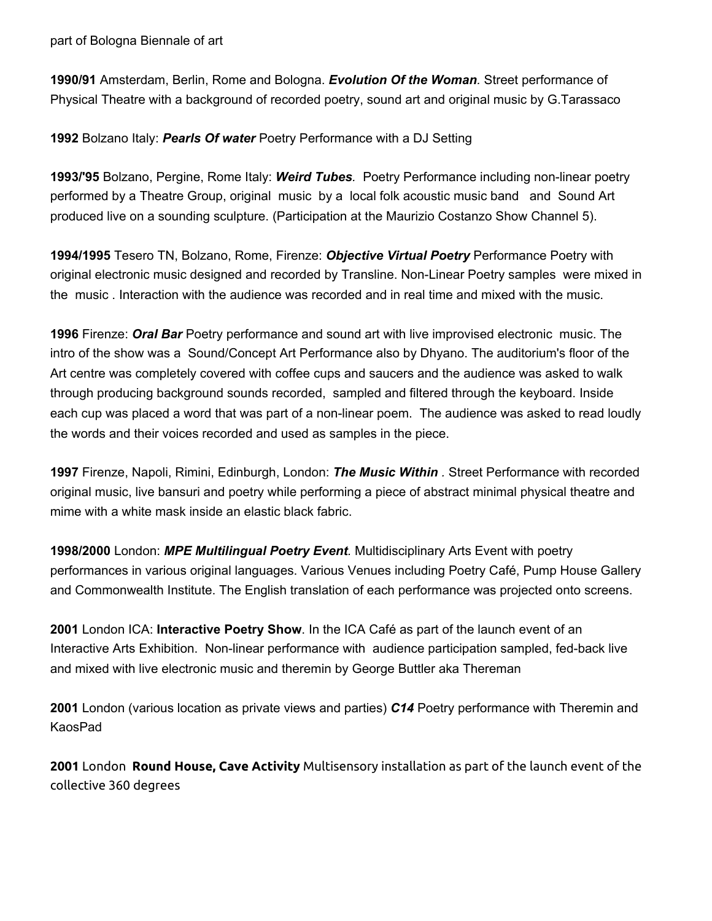part of Bologna Biennale of art

**1990/91** Amsterdam, Berlin, Rome and Bologna. *Evolution Of the Woman.* Street performance of Physical Theatre with a background of recorded poetry, sound art and original music by G.Tarassaco

**1992** Bolzano Italy: *Pearls Of water* Poetry Performance with a DJ Setting

**1993/'95** Bolzano, Pergine, Rome Italy: *Weird Tubes.* Poetry Performance including non-linear poetry performed by a Theatre Group, original music by a local folk acoustic music band and Sound Art produced live on a sounding sculpture. (Participation at the Maurizio Costanzo Show Channel 5).

**1994/1995** Tesero TN, Bolzano, Rome, Firenze: *Objective Virtual Poetry* Performance Poetry with original electronic music designed and recorded by Transline. Non-Linear Poetry samples were mixed in the music . Interaction with the audience was recorded and in real time and mixed with the music.

**1996** Firenze: *Oral Bar* Poetry performance and sound art with live improvised electronic music. The intro of the show was a Sound/Concept Art Performance also by Dhyano. The auditorium's floor of the Art centre was completely covered with coffee cups and saucers and the audience was asked to walk through producing background sounds recorded, sampled and filtered through the keyboard. Inside each cup was placed a word that was part of a non-linear poem. The audience was asked to read loudly the words and their voices recorded and used as samples in the piece.

**1997** Firenze, Napoli, Rimini, Edinburgh, London: *The Music Within .* Street Performance with recorded original music, live bansuri and poetry while performing a piece of abstract minimal physical theatre and mime with a white mask inside an elastic black fabric.

**1998/2000** London: *MPE Multilingual Poetry Event.* Multidisciplinary Arts Event with poetry performances in various original languages. Various Venues including Poetry Café, Pump House Gallery and Commonwealth Institute. The English translation of each performance was projected onto screens.

**2001** London ICA: **Interactive Poetry Show**. In the ICA Café as part of the launch event of an Interactive Arts Exhibition. Non-linear performance with audience participation sampled, fed-back live and mixed with live electronic music and theremin by George Buttler aka Thereman

**2001** London (various location as private views and parties) *C14* Poetry performance with Theremin and KaosPad

**2001** London **Round House, Cave Activity** Multisensory installation as part of the launch event of the collective 360 degrees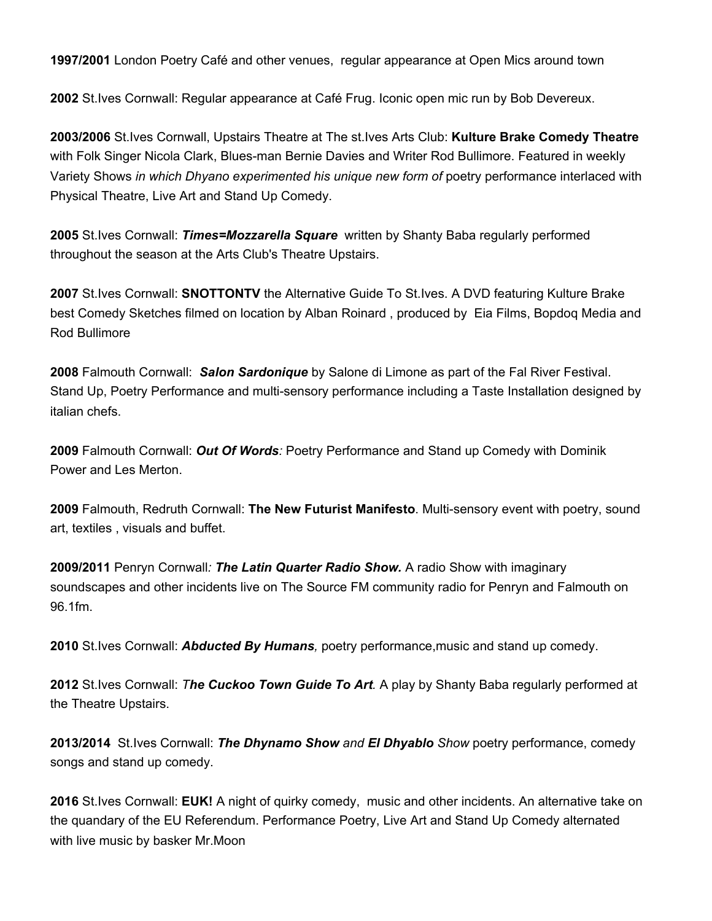**1997/2001** London Poetry Café and other venues, regular appearance at Open Mics around town

**2002** St.Ives Cornwall: Regular appearance at Café Frug. Iconic open mic run by Bob Devereux.

**2003/2006** St.Ives Cornwall, Upstairs Theatre at The st.Ives Arts Club: **Kulture Brake Comedy Theatre** with Folk Singer Nicola Clark, Blues-man Bernie Davies and Writer Rod Bullimore. Featured in weekly Variety Shows *in which Dhyano experimented his unique new form of* poetry performance interlaced with Physical Theatre, Live Art and Stand Up Comedy.

**2005** St.Ives Cornwall: *Times=Mozzarella Square* written by Shanty Baba regularly performed throughout the season at the Arts Club's Theatre Upstairs.

**2007** St.Ives Cornwall: **SNOTTONTV** the Alternative Guide To St.Ives. A DVD featuring Kulture Brake best Comedy Sketches filmed on location by Alban Roinard , produced by Eia Films, Bopdoq Media and Rod Bullimore

**2008** Falmouth Cornwall: *Salon Sardonique* by Salone di Limone as part of the Fal River Festival. Stand Up, Poetry Performance and multi-sensory performance including a Taste Installation designed by italian chefs.

**2009** Falmouth Cornwall: *Out Of Words:* Poetry Performance and Stand up Comedy with Dominik Power and Les Merton.

**2009** Falmouth, Redruth Cornwall: **The New Futurist Manifesto**. Multi-sensory event with poetry, sound art, textiles , visuals and buffet.

**2009/2011** Penryn Cornwall*: The Latin Quarter Radio Show.* A radio Show with imaginary soundscapes and other incidents live on The Source FM community radio for Penryn and Falmouth on 96.1fm.

**2010** St.Ives Cornwall: *Abducted By Humans,* poetry performance,music and stand up comedy.

**2012** St.Ives Cornwall: *The Cuckoo Town Guide To Art.* A play by Shanty Baba regularly performed at the Theatre Upstairs.

**2013/2014** St.Ives Cornwall: *The Dhynamo Show and El Dhyablo Show* poetry performance, comedy songs and stand up comedy.

**2016** St.Ives Cornwall: **EUK!** A night of quirky comedy, music and other incidents. An alternative take on the quandary of the EU Referendum. Performance Poetry, Live Art and Stand Up Comedy alternated with live music by basker Mr.Moon